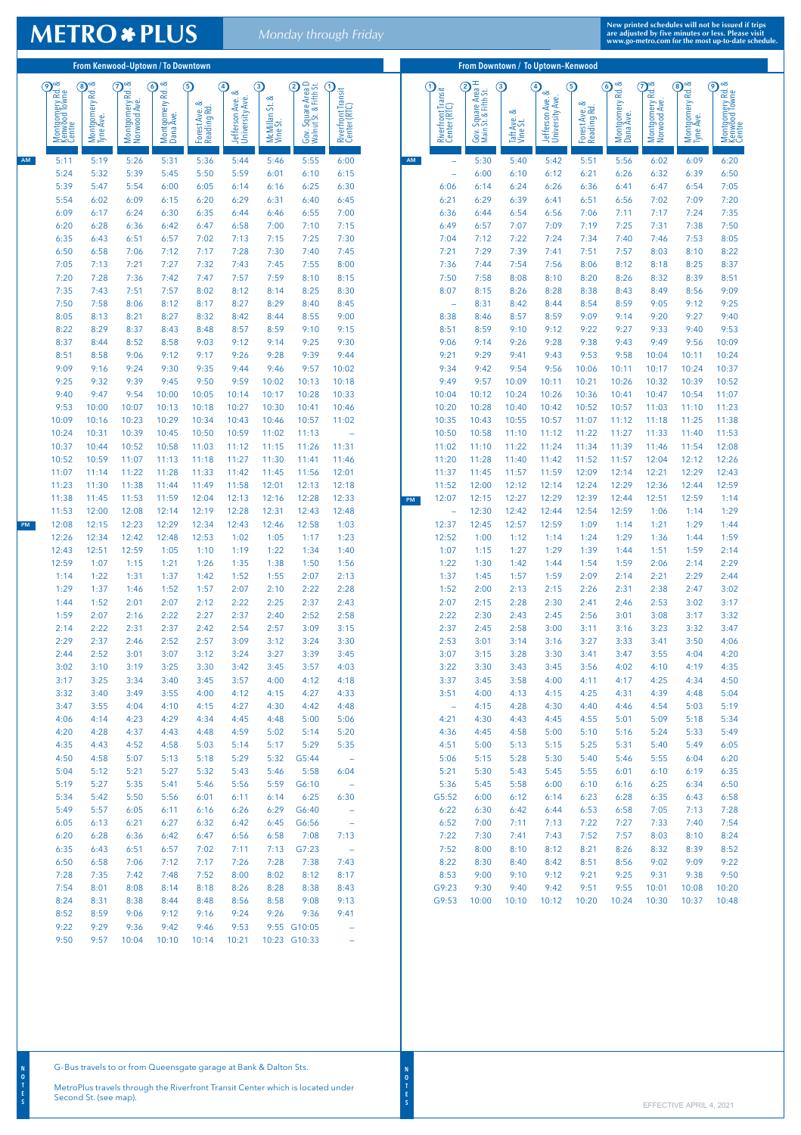From Kenwood–Uptown / To Downtown From Downtown From Downtown / To Uptown–Kenwood Montgomery Rd. &<br>
Kenwood Towne<br>
Twistomery Rd. &<br>
Tyne Ave.<br>
Nontgomery Rd. &<br>
Nontgomery Rd. &<br>
Nontgomery Rd. &<br>
Dana Ave.<br>
Forest Ave. &<br>
Fedding Rd.<br>
Jefferson Ave. &<br>
Jefferson Ave. & Niverfront Transit<br>
Center (RTC)<br>
Conter (RTC)<br>
Main St. & Fifth St.<br>
Main St. & Fifth St.<br>
University Ave.<br>
University Ave.<br>
Corest Ave. & Fifth St.<br>
Corest Ave. & Fifth St.<br>
Corest Ave. & Corest Ave. & Content<br>
Montgome Montgomery Rd. & Montgomery Rd. & U<br>Gov. Square Area D<br>Walnut St. & Fifth St.<br>2000 Montgomery Rd. & Montgomery Rd. &<br>Kenwood Towne<br>Centre Montgomery Rd. & Montgomery Rd. & Montgomery Rd. 8<br>Dana Ave. Montgomery Rd. & Montgomery Rd. & Montgomery Rd. &<br>Kenwood Towne<br>Centre Riverfront Transit Riverfront Transit<br>Center (RTC) Jefferson Ave. & Jefferson Ave. & Montgomery Rd Vine St. University Ave. Forest Ave. &<br>Reading Rd. University Ave. McMillan St. & Norwood Ave. Norwood Ave. Forest Ave. & Forest Ave. & Forest Ave. 8<br>Reading Rd. Dana Ave. Taft Ave. & Vine St. Tyne Ave. Tyne Ave. AM AM 5:11 5:19 5:26 5:31 5:36 5:44 5:46 5:55 6:00 — 5:30 5:40 5:42 5:51 5:56 6:02 6:09 6:20 5:24 5:32 5:39 5:45 5:50 5:59 6:01 6:10 6:15 — 6:00 6:10 6:12 6:21 6:26 6:32 6:39 6:50 5:39 5:47 5:54 6:00 6:05 6:14 6:16 6:25 6:30 6:06 6:14 6:24 6:26 6:36 6:41 6:47 6:54 7:05 5:54 6:02 6:09 6:15 6:20 6:29 6:31 6:40 6:45 6:21 6:29 6:39 6:41 6:51 6:56 7:02 7:09 7:20 6:09 6:17 6:24 6:30 6:35 6:44 6:46 6:55 7:00 6:36 6:44 6:54 6:56 7:06 7:11 7:17 7:24 7:35 6:20 6:28 6:36 6:42 6:47 6:58 7:00 7:10 7:15 6:49 6:57 7:07 7:09 7:19 7:25 7:31 7:38 7:50 6:35 6:43 6:51 6:57 7:02 7:13 7:15 7:25 7:30 7:04 7:12 7:22 7:24 7:34 7:40 7:46 7:53 8:05 6:50 6:58 7:06 7:12 7:17 7:28 7:30 7:40 7:45 7:21 7:29 7:39 7:41 7:51 7:57 8:03 8:10 8:22 7:05 7:13 7:21 7:27 7:32 7:43 7:45 7:55 8:00 7:36 7:44 7:54 7:56 8:06 8:12 8:18 8:25 8:37 7:20 7:28 7:36 7:42 7:47 7:57 7:59 8:10 8:15 7:50 7:58 8:08 8:10 8:20 8:26 8:32 8:39 8:51 7:35 7:43 7:51 7:57 8:02 8:12 8:14 8:25 8:30 8:07 8:15 8:26 8:28 8:38 8:43 8:49 8:56 9:09 7:50 7:58 8:06 8:12 8:17 8:27 8:29 8:40 8:45 — 8:31 8:42 8:44 8:54 8:59 9:05 9:12 9:25 8:05 8:13 8:21 8:27 8:32 8:42 8:44 8:55 9:00 8:38 8:46 8:57 8:59 9:09 9:14 9:20 9:27 9:40 8:22 8:29 8:37 8:43 8:48 8:57 8:59 9:10 9:15 8:51 8:59 9:10 9:12 9:22 9:27 9:33 9:40 9:53 8:37 8:44 8:52 8:58 9:03 9:12 9:14 9:25 9:30 9:06 9:14 9:26 9:28 9:38 9:43 9:49 9:56 10:09 8:51 8:58 9:06 9:12 9:17 9:26 9:28 9:39 9:44 9:21 9:29 9:41 9:43 9:53 9:58 10:04 10:11 10:24 9:09 9:16 9:24 9:30 9:35 9:44 9:46 9:57 10:02 9:34 9:42 9:54 9:56 10:06 10:11 10:17 10:24 10:37 9:25 9:32 9:39 9:45 9:50 9:59 10:02 10:13 10:18 9:49 9:57 10:09 10:11 10:21 10:26 10:32 10:39 10:52 9:40 9:47 9:54 10:00 10:05 10:14 10:17 10:28 10:33 10:04 10:12 10:24 10:26 10:36 10:41 10:47 10:54 11:07 9:53 10:00 10:07 10:13 10:18 10:27 10:30 10:41 10:46 10:20 10:28 10:40 10:42 10:52 10:57 11:03 11:10 11:23 10:09 10:16 10:23 10:29 10:34 10:43 10:46 10:57 11:02 10:35 10:43 10:55 10:57 11:07 11:12 11:18 11:25 11:38 10:24 10:31 10:39 10:45 10:50 10:59 11:02 11:13 — 10:50 10:58 11:10 11:12 11:22 11:27 11:33 11:40 11:53 10:37 10:44 10:52 10:58 11:03 11:12 11:15 11:26 11:31 11:02 11:10 11:22 11:24 11:34 11:39 11:46 11:54 12:08 10:52 10:59 11:07 11:13 11:18 11:27 11:30 11:41 11:46 11:20 11:28 11:40 11:42 11:52 11:57 12:04 12:12 12:26 11:07 11:14 11:22 11:28 11:33 11:42 11:45 11:56 12:01 11:37 11:45 11:57 11:59 12:09 12:14 12:21 12:29 12:43 11:23 11:30 11:38 11:44 11:49 11:58 12:01 12:13 12:18 11:52 12:00 12:12 12:14 12:24 12:29 12:36 12:44 12:59 11:38 11:45 11:53 11:59 12:04 12:13 12:16 12:28 12:33 12:07 12:15 12:27 12:29 12:39 12:44 12:51 12:59 1:14 PM 11:53 12:00 12:08 12:14 12:19 12:28 12:31 12:43 12:48 — 12:30 12:42 12:44 12:54 12:59 1:06 1:14 1:29 12:08 12:15 12:23 12:29 12:34 12:43 12:46 12:58 1:03 12:37 12:45 12:57 12:59 1:09 1:14 1:21 1:29 1:44 PM 12:26 12:34 12:42 12:48 12:53 1:02 1:05 1:17 1:23 12:52 1:00 1:12 1:14 1:24 1:29 1:36 1:44 1:59 12:43 12:51 12:59 1:05 1:10 1:19 1:22 1:34 1:40 1:07 1:15 1:27 1:29 1:39 1:44 1:51 1:59 2:14 12:59 1:07 1:15 1:21 1:26 1:35 1:38 1:50 1:56 1:22 1:30 1:42 1:44 1:54 1:59 2:06 2:14 2:29 1:14 1:22 1:31 1:37 1:42 1:52 1:55 2:07 2:13 1:37 1:45 1:57 1:59 2:09 2:14 2:21 2:29 2:44 1:29 1:37 1:46 1:52 1:57 2:07 2:10 2:22 2:28 1:52 2:00 2:13 2:15 2:26 2:31 2:38 2:47 3:02 1:44 1:52 2:01 2:07 2:12 2:22 2:25 2:37 2:43 2:07 2:15 2:28 2:30 2:41 2:46 2:53 3:02 3:17 1:59 2:07 2:16 2:22 2:27 2:37 2:40 2:52 2:58 2:22 2:30 2:43 2:45 2:56 3:01 3:08 3:17 3:32 2:14 2:22 2:31 2:37 2:42 2:54 2:57 3:09 3:15 2:37 2:45 2:58 3:00 3:11 3:16 3:23 3:32 3:47 2:29 2:37 2:46 2:52 2:57 3:09 3:12 3:24 3:30 2:53 3:01 3:14 3:16 3:27 3:33 3:41 3:50 4:06 2:44 2:52 3:01 3:07 3:12 3:24 3:27 3:39 3:45 3:07 3:15 3:28 3:30 3:41 3:47 3:55 4:04 4:20 3:02 3:10 3:19 3:25 3:30 3:42 3:45 3:57 4:03 3:22 3:30 3:43 3:45 3:56 4:02 4:10 4:19 4:35 3:17 3:25 3:34 3:40 3:45 3:57 4:00 4:12 4:18 3:37 3:45 3:58 4:00 4:11 4:17 4:25 4:34 4:50 3:32 3:40 3:49 3:55 4:00 4:12 4:15 4:27 4:33 3:51 4:00 4:13 4:15 4:25 4:31 4:39 4:48 5:04 3:47 3:55 4:04 4:10 4:15 4:27 4:30 4:42 4:48 — 4:15 4:28 4:30 4:40 4:46 4:54 5:03 5:19 4:06 4:14 4:23 4:29 4:34 4:45 4:48 5:00 5:06 4:21 4:30 4:43 4:45 4:55 5:01 5:09 5:18 5:34 4:20 4:28 4:37 4:43 4:48 4:59 5:02 5:14 5:20 4:36 4:45 4:58 5:00 5:10 5:16 5:24 5:33 5:49 4:35 4:43 4:52 4:58 5:03 5:14 5:17 5:29 5:35 4:51 5:00 5:13 5:15 5:25 5:31 5:40 5:49 6:05 4:50 4:58 5:07 5:13 5:18 5:29 5:32 G5:44 — 5:06 5:15 5:28 5:30 5:40 5:46 5:55 6:04 6:20 5:04 5:12 5:21 5:27 5:32 5:43 5:46 5:58 6:04 5:21 5:30 5:43 5:45 5:55 6:01 6:10 6:19 6:35 5:19 5:27 5:35 5:41 5:46 5:56 5:59 G6:10 — 5:36 5:45 5:58 6:00 6:10 6:16 6:25 6:34 6:50 5:34 5:42 5:50 5:56 6:01 6:11 6:14 6:25 6:30 G5:52 6:00 6:12 6:14 6:23 6:28 6:35 6:43 6:58 5:49 5:57 6:05 6:11 6:16 6:26 6:29 G6:40 — 6:22 6:30 6:42 6:44 6:53 6:58 7:05 7:13 7:28 6:05 6:13 6:21 6:27 6:32 6:42 6:45 G6:56 — 6:52 7:00 7:11 7:13 7:22 7:27 7:33 7:40 7:54

## **METRO \* PLUS**

**New printed schedules will not be issued if trips are adjusted by five minutes or less. Please visit** *Monday through Friday* **www.go-metro.com for the most up-to-date schedule.**

| 6:20                                                                                                    | 6:28 | 6:36  | 6:42  | 6:47  | 6:56  | 6:58 | 7:08         | 7:13                     |  | 7:22  | 7:30  | 7:41  | 7:43  | 7:52                    | 7:57  | 8:03  | 8:10  | 8:24  |  |
|---------------------------------------------------------------------------------------------------------|------|-------|-------|-------|-------|------|--------------|--------------------------|--|-------|-------|-------|-------|-------------------------|-------|-------|-------|-------|--|
| 6:35                                                                                                    | 6:43 | 6:51  | 6:57  | 7:02  | 7:11  | 7:13 | G7:23        | $\overline{\phantom{m}}$ |  | 7:52  | 8:00  | 8:10  | 8:12  | 8:21                    | 8:26  | 8:32  | 8:39  | 8:52  |  |
| 6:50                                                                                                    | 6:58 | 7:06  | 7:12  | 7:17  | 7:26  | 7:28 | 7:38         | 7:43                     |  | 8:22  | 8:30  | 8:40  | 8:42  | 8:51                    | 8:56  | 9:02  | 9:09  | 9:22  |  |
| 7:28                                                                                                    | 7:35 | 7:42  | 7:48  | 7:52  | 8:00  | 8:02 | 8:12         | 8:17                     |  | 8:53  | 9:00  | 9:10  | 9:12  | 9:21                    | 9:25  | 9:31  | 9:38  | 9:50  |  |
| 7:54                                                                                                    | 8:01 | 8:08  | 8:14  | 8:18  | 8:26  | 8:28 | 8:38         | 8:43                     |  | G9:23 | 9:30  | 9:40  | 9:42  | 9:51                    | 9:55  | 10:01 | 10:08 | 10:20 |  |
| 8:24                                                                                                    | 8:31 | 8:38  | 8:44  | 8:48  | 8:56  | 8:58 | 9:08         | 9:13                     |  | G9:53 | 10:00 | 10:10 | 10:12 | 10:20                   | 10:24 | 10:30 | 10:37 | 10:48 |  |
| 8:52                                                                                                    | 8:59 | 9:06  | 9:12  | 9:16  | 9:24  | 9:26 | 9:36         | 9:41                     |  |       |       |       |       |                         |       |       |       |       |  |
| 9:22                                                                                                    | 9:29 | 9:36  | 9:42  | 9:46  | 9:53  |      | 9:55 G10:05  | $\overline{\phantom{m}}$ |  |       |       |       |       |                         |       |       |       |       |  |
| 9:50                                                                                                    | 9:57 | 10:04 | 10:10 | 10:14 | 10:21 |      | 10:23 G10:33 | $\overline{\phantom{m}}$ |  |       |       |       |       |                         |       |       |       |       |  |
|                                                                                                         |      |       |       |       |       |      |              |                          |  |       |       |       |       |                         |       |       |       |       |  |
| G-Bus travels to or from Queensgate garage at Bank & Dalton Sts.                                        |      |       |       |       |       |      |              |                          |  |       |       |       |       |                         |       |       |       |       |  |
| MetroPlus travels through the Riverfront Transit Center which is located under<br>Second St. (see map). |      |       |       |       |       |      |              |                          |  |       |       |       |       | EFFECTIVE APRIL 4, 2021 |       |       |       |       |  |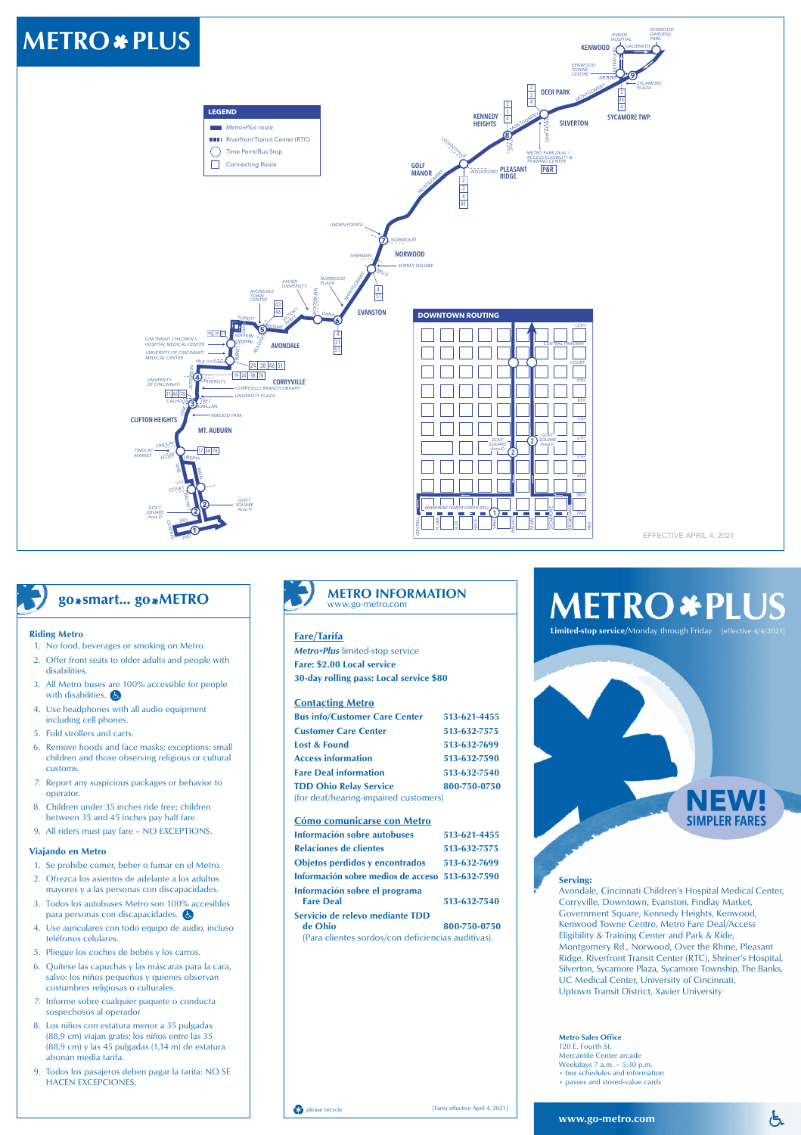